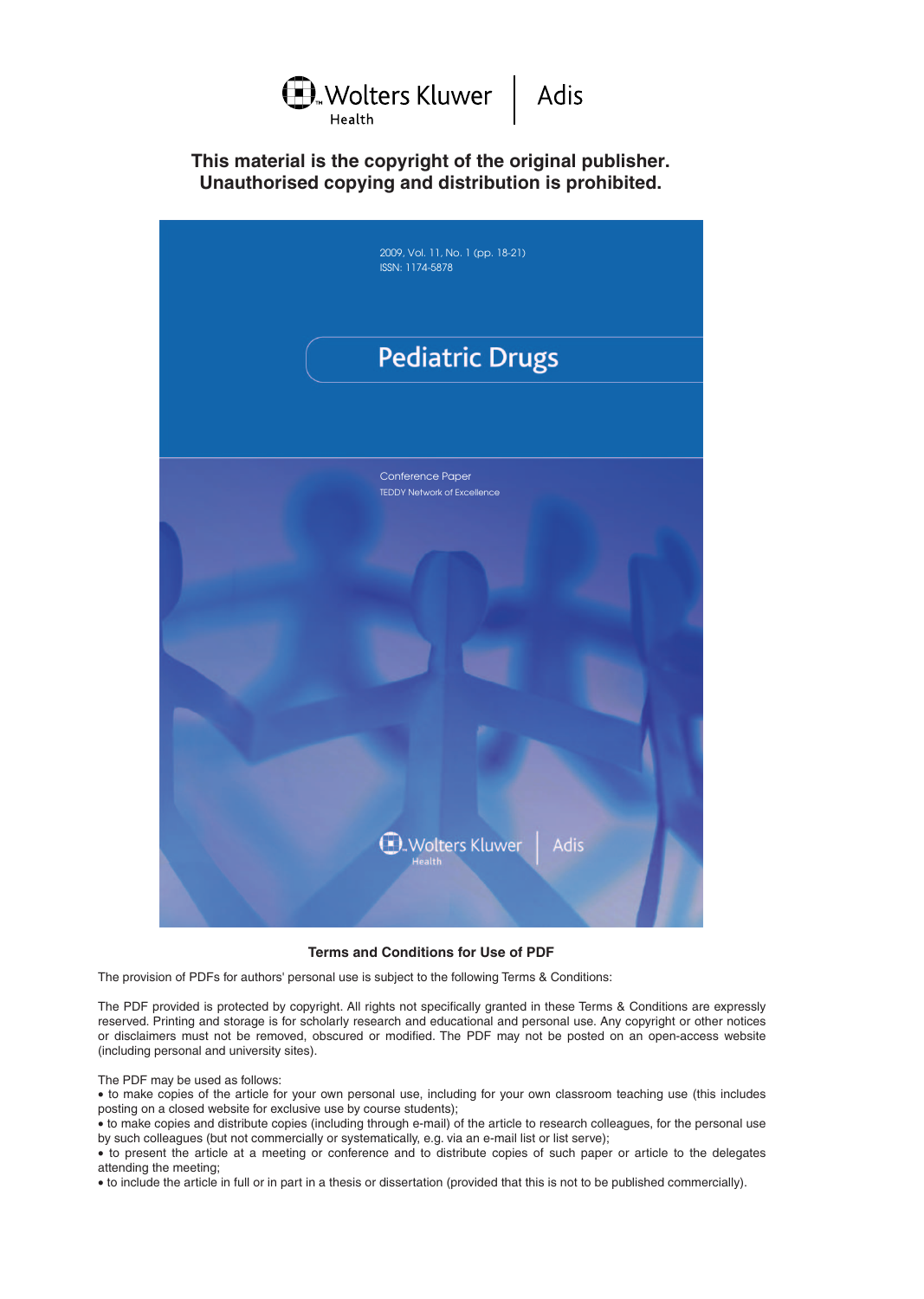

**This material is the copyright of the original publisher. Unauthorised copying and distribution is prohibited.** 



### **Terms and Conditions for Use of PDF**

The provision of PDFs for authors' personal use is subject to the following Terms & Conditions:

The PDF provided is protected by copyright. All rights not specifically granted in these Terms & Conditions are expressly reserved. Printing and storage is for scholarly research and educational and personal use. Any copyright or other notices or disclaimers must not be removed, obscured or modified. The PDF may not be posted on an open-access website (including personal and university sites).

The PDF may be used as follows:

• to make copies of the article for your own personal use, including for your own classroom teaching use (this includes posting on a closed website for exclusive use by course students);

• to make copies and distribute copies (including through e-mail) of the article to research colleagues, for the personal use by such colleagues (but not commercially or systematically, e.g. via an e-mail list or list serve);

• to present the article at a meeting or conference and to distribute copies of such paper or article to the delegates attending the meeting;

• to include the article in full or in part in a thesis or dissertation (provided that this is not to be published commercially).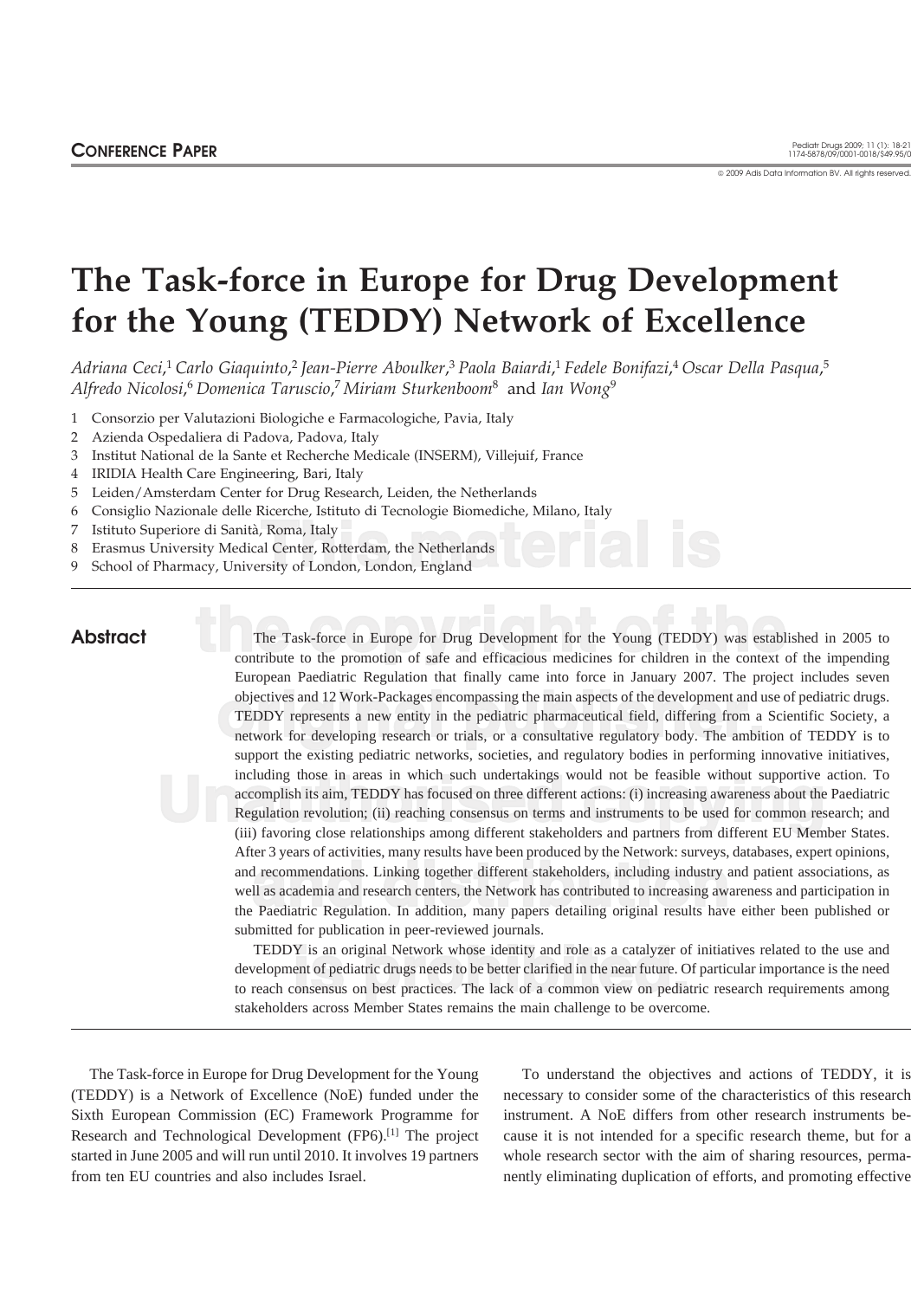2009 Adis Data Information BV. All rights reserved.

# **The Task-force in Europe for Drug Development for the Young (TEDDY) Network of Excellence**

*Adriana Ceci*, <sup>1</sup>*Carlo Giaquinto*, <sup>2</sup>*Jean-Pierre Aboulker*, <sup>3</sup>*Paola Baiardi*, <sup>1</sup>*Fedele Bonifazi*, <sup>4</sup>*Oscar Della Pasqua*, 5 *Alfredo Nicolosi*, <sup>6</sup>*Domenica Taruscio*, <sup>7</sup>*Miriam Sturkenboom*<sup>8</sup> and *Ian Wong*<sup>9</sup>

- 1 Consorzio per Valutazioni Biologiche e Farmacologiche, Pavia, Italy
- 2 Azienda Ospedaliera di Padova, Padova, Italy
- 3 Institut National de la Sante et Recherche Medicale (INSERM), Villejuif, France
- 4 IRIDIA Health Care Engineering, Bari, Italy
- 5 Leiden/Amsterdam Center for Drug Research, Leiden, the Netherlands
- 6 Consiglio Nazionale delle Ricerche, Istituto di Tecnologie Biomediche, Milano, Italy
- 7 Istituto Superiore di Sanita, Roma, Italy `
- Roma, Italy<br>
Il Center, Rotterdam, the Netherlands<br>
rsity of London, London, England 8 Erasmus University Medical Center, Rotterdam, the Netherlands
- 9 School of Pharmacy, University of London, London, England

The Task-force in Europe for Drug Development for the Young (TEDDY) was established in 2005 to contribute to the promotion of safe and efficacious medicines for children in the context of the impending objectives and 12 Work-Packages encompassing the main aspects of the development and use<br> **TEDDY** represents a new entity in the pediatric pharmaceutical field, differing from a Sc<br>
network for developing research or trial Including those in areas in which such undertakings would not be feasible without supportive act<br>accomplish its aim, TEDDY has focused on three different actions: (i) increasing awareness about the Pa<br>Regulation revolution and recommendations. Linking together different stakeholders, including industry and patient associations, as well as academia and research centers, the Network has contributed to increasing awareness and participation in Abstract The Task-force in Europe for Drug Development for the Young (TEDDY) was established in 2005 to European Paediatric Regulation that finally came into force in January 2007. The project includes seven objectives and 12 Work-Packages encompassing the main aspects of the development and use of pediatric drugs. TEDDY represents a new entity in the pediatric pharmaceutical field, differing from a Scientific Society, a network for developing research or trials, or a consultative regulatory body. The ambition of TEDDY is to support the existing pediatric networks, societies, and regulatory bodies in performing innovative initiatives, including those in areas in which such undertakings would not be feasible without supportive action. To accomplish its aim, TEDDY has focused on three different actions: (i) increasing awareness about the Paediatric Regulation revolution; (ii) reaching consensus on terms and instruments to be used for common research; and (iii) favoring close relationships among different stakeholders and partners from different EU Member States. After 3 years of activities, many results have been produced by the Network: surveys, databases, expert opinions, well as academia and research centers, the Network has contributed to increasing awareness and participation in the Paediatric Regulation. In addition, many papers detailing original results have either been published or submitted for publication in peer-reviewed journals.

> **is the flux reach consensus on best practices.** The lack of a common view on pediatric research requirements among to reach consensus on best practices. The lack of a common view on pediatric research requirements among TEDDY is an original Network whose identity and role as a catalyzer of initiatives related to the use and development of pediatric drugs needs to be better clarified in the near future. Of particular importance is the need stakeholders across Member States remains the main challenge to be overcome.

The Task-force in Europe for Drug Development for the Young To understand the objectives and actions of TEDDY, it is (TEDDY) is a Network of Excellence (NoE) funded under the necessary to consider some of the characteristics of this research Sixth European Commission (EC) Framework Programme for instrument. A NoE differs from other research instruments be-Research and Technological Development (FP6).<sup>[1]</sup> The project cause it is not intended for a specific research theme, but for a started in June 2005 and will run until 2010. It involves 19 partners whole research sector with the aim of sharing resources, permafrom ten EU countries and also includes Israel. The nently eliminating duplication of efforts, and promoting effective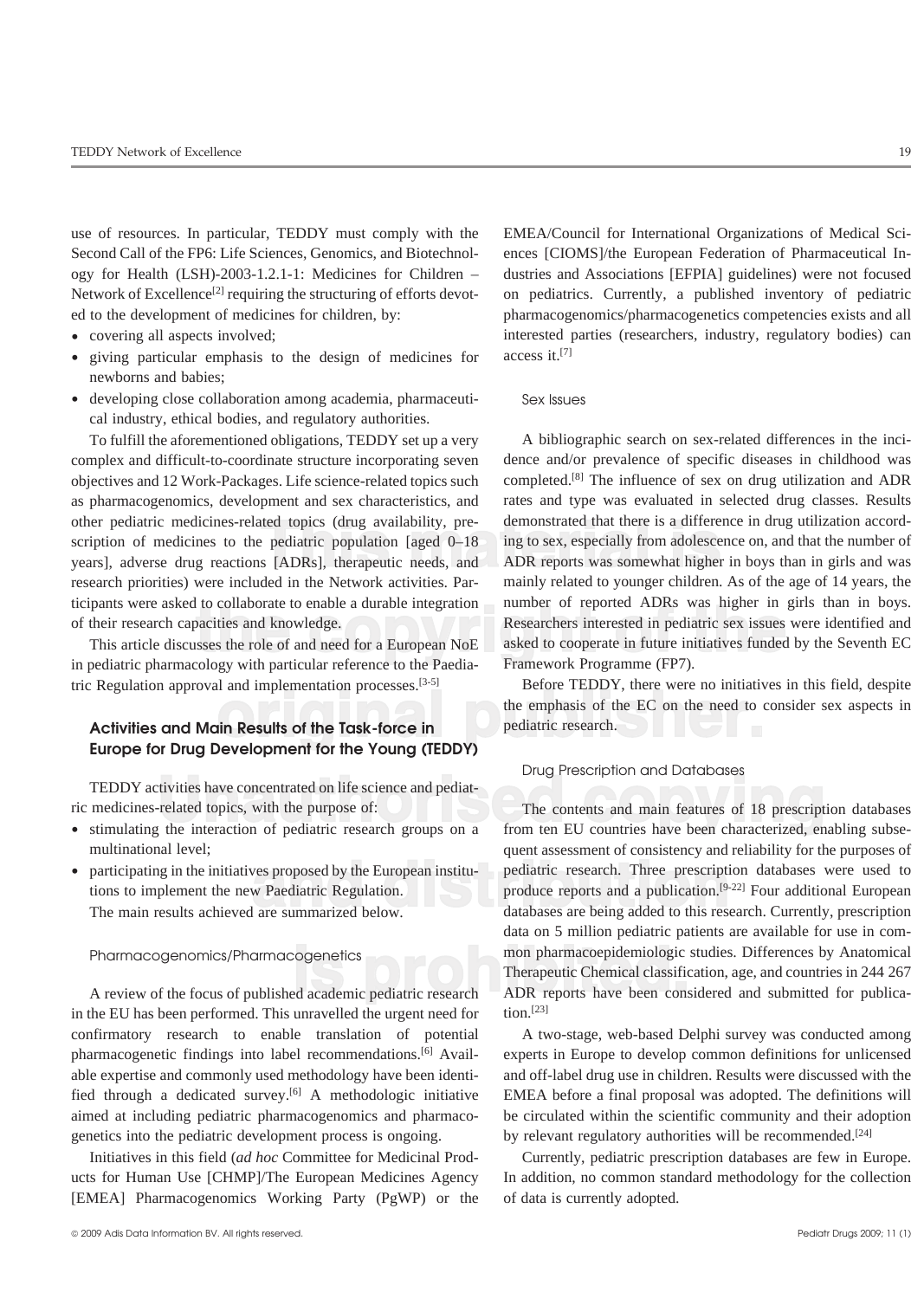use of resources. In particular, TEDDY must comply with the EMEA/Council for International Organizations of Medical Sci-Second Call of the FP6: Life Sciences, Genomics, and Biotechnol- ences [CIOMS]/the European Federation of Pharmaceutical Inogy for Health (LSH)-2003-1.2.1-1: Medicines for Children – dustries and Associations [EFPIA] guidelines) were not focused Network of Excellence<sup>[2]</sup> requiring the structuring of efforts devot- on pediatrics. Currently, a published inventory of pediatric ed to the development of medicines for children, by: pharmacogenomics/pharmacogenetics competencies exists and all

- 
- giving particular emphasis to the design of medicines for newborns and babies;
- developing close collaboration among academia, pharmaceuti-Sex Issues cal industry, ethical bodies, and regulatory authorities.

other pediatric medicines-related topics (drug availability, pre-<br>
scription of medicines to the pediatric population [aged 0–18 ing to sex, especially from adolescence on, and that the number of<br>
years], adverse drug reac To fulfill the aforementioned obligations, TEDDY set up a very A bibliographic search on sex-related differences in the incicomplex and difficult-to-coordinate structure incorporating seven dence and/or prevalence of specific diseases in childhood was objectives and 12 Work-Packages. Life science-related topics such completed.<sup>[8]</sup> The influence of sex on drug utilization and ADR as pharmacogenomics, development and sex characteristics, and rates and type was evaluated in selected drug classes. Results other pediatric medicines-related topics (drug availability, prescription of medicines to the pediatric population [aged  $0-18$ years], adverse drug reactions [ADRs], therapeutic needs, and ticipants were asked to collaborate to enable a durable integration number of reported ADRs was higher in girls than in boys. of their research capacities and knowledge. Researchers interested in pediatric sex issues were identified and

in pediatric pharmacology with particular reference to the Paedia- Framework Programme (FP7). tric Regulation approval and implementation processes.  $[3\cdot 5]$  Before TEDDY, there were no initiatives in this field, despite

## Activities and Main Results of the Task-force in pediatric research. Europe for Drug Development for the Young (TEDDY)

TEDDY activities have concentrated on life science and pediatric medicines-related topics, with the purpose of: The contents and main features of 18 prescription databases

- 
- 

in the EU has been performed. This unravelled the urgent need for  $\frac{[23]}{]}$ confirmatory research to enable translation of potential A two-stage, web-based Delphi survey was conducted among pharmacogenetic findings into label recommendations.[6] Avail- experts in Europe to develop common definitions for unlicensed able expertise and commonly used methodology have been identi- and off-label drug use in children. Results were discussed with the fied through a dedicated survey.[6] A methodologic initiative EMEA before a final proposal was adopted. The definitions will aimed at including pediatric pharmacogenomics and pharmaco- be circulated within the scientific community and their adoption genetics into the pediatric development process is ongoing. by relevant regulatory authorities will be recommended.<sup>[24]</sup>

Initiatives in this field (*ad hoc* Committee for Medicinal Prod- Currently, pediatric prescription databases are few in Europe. ucts for Human Use [CHMP]/The European Medicines Agency In addition, no common standard methodology for the collection [EMEA] Pharmacogenomics Working Party (PgWP) or the of data is currently adopted.

• covering all aspects involved; interested parties (researchers, industry, regulatory bodies) can<br>• giving particular emphasis to the design of medicines for access it.<sup>[7]</sup>

to conaborate to enable a durable integration<br>
vacities and knowledge.<br>
sses the role of and need for a European NoE<br>
researchers interested in pediatric sex issues we<br>
sses the role of and need for a European NoE<br>
Exame w mainly related to younger children. As of the age of 14 years, the This article discusses the role of and need for a European NoE asked to cooperate in future initiatives funded by the Seventh EC

**original publisher.** The text of the text is the emphasis of the EC on the need to consider sex aspects in<br> **in Results of the Task-force in**<br> **original performent for the Young (TEDDY)** 

### Drug Prescription and Databases

TEDDY activities have concentrated on life science and pediat-<br>
• stimulating the interaction of pediatric research groups on a from ten EU countries have been characterized, enabling subse-<br>
• stimulating the interaction ves proposed by the European institu-<br>
w Paediatric Regulation.<br>
are summarized below.<br>
databases are being added to this research<br>
are summarized below. Pharmacogenomics/Pharmacogenetics<br>
A review of the focus of published academic pediatric research ADR reports have been considered and submitted for publica-<br>
A review of the focus of published academic pediatric research multinational level; example assessment of consistency and reliability for the purposes of participating in the initiatives proposed by the European institu-<br>tions to implement the new Paediatric Regulation.<br>produce reports and a publication.<sup>[9-22]</sup> Four additional European tions to implement the new Paediatric Regulation. The produce reports and a publication.<sup>[9-22]</sup> Four additional European The main results achieved are summarized below. databases are being added to this research. Currently, prescription data on 5 million pediatric patients are available for use in com-Pharmacogenomics/Pharmacogenetics mon pharmacoepidemiologic studies. Differences by Anatomical Therapeutic Chemical classification, age, and countries in 244 267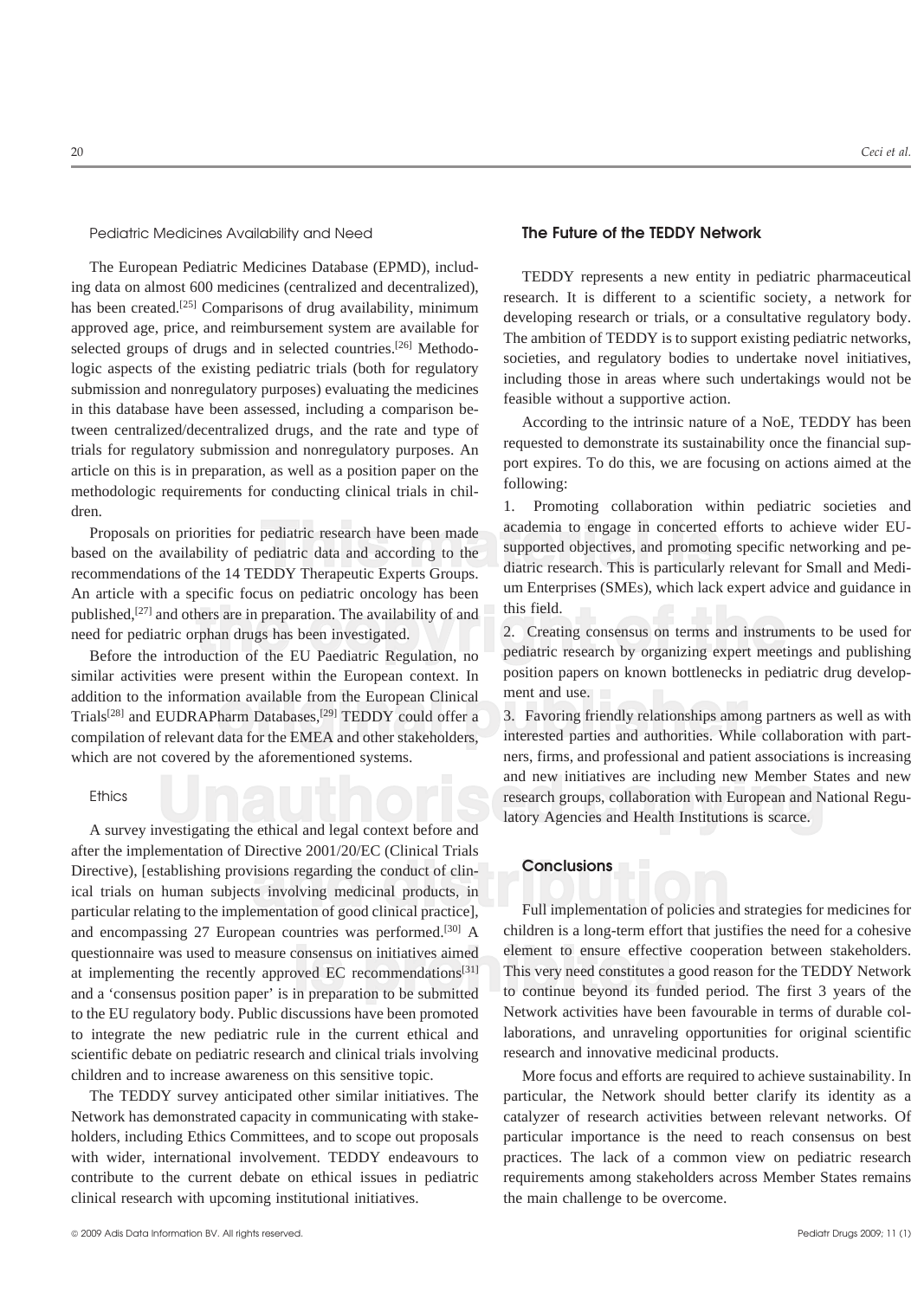### Pediatric Medicines Availability and Need The Future of the TEDDY Network

The European Pediatric Medicines Database (EPMD), includential and decentralized),<br>
In a data on almost 600 medicines (centralized and decentralized),<br>
has been created.<sup>[25]</sup> Comparisons of drug availability, minimum<br>
app in this database have been assessed, including a comparison be-<br>tween centralized/decentralized drugs, and the rate and type of<br>the intrinsic nature of a NoE, TEDDY has been<br>the contract of a NoE, TEDDY has been<br>the contra trials for regulatory submission and nonregulatory purposes. An requested to demonstrate its sustainability once the financial sup-<br>port expires. To do this, we are focusing on actions aimed at the port expires. To do this is in preparation, as well as a position paper on the post expire methodologic requirements for conducting clinical trials in chil-

An article with a specific focus on pediatric oncology has been  $\frac{um \text{ Enter}}{m}$  multiplied and  $\frac{27!}{100}$  and others are in proporation. The availability of and  $\frac{1}{2}$  this field. published, $[27]$  and others are in preparation. The availability of and need for pediatric orphan drugs has been investigated. 2. Creating consensus on terms and instruments to be used for

addition to the information available from the European Clinical ment and use.<br>
Trials<sup>[28]</sup> and EUDRAPharm Databases,<sup>[29]</sup> TEDDY could offer a 3. Favoring friendly relationships among partners as well as with compilation similar activities were present within the European context. In position papers on known bottlenecks in pediatric drug developaddition to the information available from the European Clinical Trials<sup>[28]</sup> and EUDRAPharm Databases,<sup>[29]</sup> TEDDY could offer a compilation of relevant data for the EMEA and other stakeholders,

Directive), [establishing provisions regarding the conduct of clin-<br>
ical trials on human subjects involving medicinal products, in<br>
particular relating to the implementation of good clinical practice], Full implementation A survey investigating the ethical and legal context before and after the implementation of Directive 2001/20/EC (Clinical Trials ical trials on human subjects involving medicinal products, in particular relating to the implementation of good clinical practice], Full implementation of policies and strategies for medicines for scientific debate on pediatric research and clinical trials involving research and innovative medicinal products.

Network has demonstrated capacity in communicating with stake- catalyzer of research activities between relevant networks. Of holders, including Ethics Committees, and to scope out proposals particular importance is the need to reach consensus on best with wider, international involvement. TEDDY endeavours to practices. The lack of a common view on pediatric research contribute to the current debate on ethical issues in pediatric requirements among stakeholders across Member States remains clinical research with upcoming institutional initiatives. the main challenge to be overcome.

Proposals on priorities for pediatric research have been made<br>
in concerted efforts to achieve wider EU-<br>
supported objectives, and promoting specific networking and pe-<br>
ommendations of the 14 TEDDY Therapeutic Experts Gr 1. Promoting collaboration within pediatric societies and<br>Proposels on priorities for pediatric recepts have been mede. academia to engage in concerted efforts to achieve wider EUbased on the availability of pediatric data and according to the supported objectives, and promoting specific networking and pe-<br>recommendations of the 14 TEDDV There per connections of the 14 TEDDV There exercises are dia recommendations of the 14 TEDDY Therapeutic Experts Groups. diatric research. This is particularly relevant for Small and Medi-<br>An article with a specific focus on pediatric oncology has been um Enterprises (SMEs), which l

blished,<sup>[27]</sup> and others are in preparation. The availability of and<br>
this field.<br>
2. Creating consensus on terms and instruments to be used for<br>
Before the introduction of the EU Paediatric Regulation, no<br>
pediatric rese

and new initiatives are including new Member State<br>
research groups, collaboration with European and Nati<br>
latory Agencies and Health Institutions is scarce. ners, firms, and professional and patient associations is increasing and new initiatives are including new Member States and new Ethics research groups, collaboration with European and National Regulatory Agencies and Health Institutions is scarce.

consensus on initiatives aimed element to ensure effective<br>oved EC recommendations<sup>[31]</sup> This very need constitutes a go<br>in preparation to be submitted to continue beyond its funder and encompassing 27 European countries was performed.<sup>[30]</sup> A children is a long-term effort that justifies the need for a cohesive questionnaire was used to measure consensus on initiatives aimed element to ensure effective cooperation between stakeholders. at implementing the recently approved EC recommendations<sup>[31]</sup> This very need constitutes a good reason for the TEDDY Network and a 'consensus position paper' is in preparation to be submitted to continue beyond its funded period. The first 3 years of the to the EU regulatory body. Public discussions have been promoted Network activities have been favourable in terms of durable colto integrate the new pediatric rule in the current ethical and laborations, and unraveling opportunities for original scientific

children and to increase awareness on this sensitive topic. More focus and efforts are required to achieve sustainability. In The TEDDY survey anticipated other similar initiatives. The particular, the Network should better clarify its identity as a